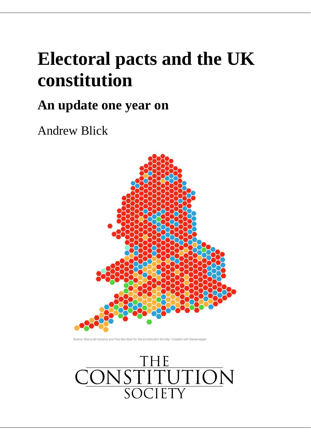# **Electoral pacts and the UK constitution**

## **An update one year on**

Andrew Blick



Source: Electoral Calculus and Find Out Now for the Constitution Society . Created with Datawrapper

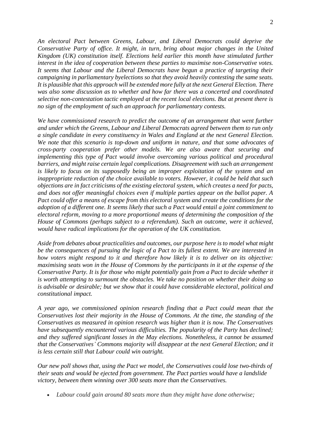*An electoral Pact between Greens, Labour, and Liberal Democrats could deprive the Conservative Party of office. It might, in turn, bring about major changes in the United Kingdom (UK) constitution itself. Elections held earlier this month have stimulated further interest in the idea of cooperation between these parties to maximise non-Conservative votes. It seems that Labour and the Liberal Democrats have begun a practice of targeting their campaigning in parliamentary byelections so that they avoid heavily contesting the same seats. It is plausible that this approach will be extended more fully at the next General Election. There was also some discussion as to whether and how far there was a concerted and coordinated selective non-contestation tactic employed at the recent local elections. But at present there is no sign of the employment of such an approach for parliamentary contests.*

*We have commissioned research to predict the outcome of an arrangement that went further and under which the Greens, Labour and Liberal Democrats agreed between them to run only a single candidate in every constituency in Wales and England at the next General Election. We note that this scenario is top-down and uniform in nature, and that some advocates of cross-party cooperation prefer other models. We are also aware that securing and implementing this type of Pact would involve overcoming various political and procedural barriers, and might raise certain legal complications. Disagreement with such an arrangement is likely to focus on its supposedly being an improper exploitation of the system and an inappropriate reduction of the choice available to voters. However, it could be held that such objections are in fact criticisms of the existing electoral system, which creates a need for pacts, and does not offer meaningful choices even if multiple parties appear on the ballot paper. A Pact could offer a means of escape from this electoral system and create the conditions for the adoption of a different one. It seems likely that such a Pact would entail a joint commitment to electoral reform, moving to a more proportional means of determining the composition of the House of Commons (perhaps subject to a referendum). Such an outcome, were it achieved, would have radical implications for the operation of the UK constitution.*

*Aside from debates about practicalities and outcomes, our purpose here is to model what might be the consequences of pursuing the logic of a Pact to its fullest extent. We are interested in how voters might respond to it and therefore how likely it is to deliver on its objective: maximising seats won in the House of Commons by the participants in it at the expense of the Conservative Party. It is for those who might potentially gain from a Pact to decide whether it is worth attempting to surmount the obstacles. We take no position on whether their doing so is advisable or desirable; but we show that it could have considerable electoral, political and constitutional impact.* 

*A year ago, we commissioned opinion research finding that a Pact could mean that the Conservatives lost their majority in the House of Commons. At the time, the standing of the Conservatives as measured in opinion research was higher than it is now. The Conservatives have subsequently encountered various difficulties. The popularity of the Party has declined; and they suffered significant losses in the May elections. Nonetheless, it cannot be assumed that the Conservatives' Commons majority will disappear at the next General Election; and it is less certain still that Labour could win outright.*

*Our new poll shows that, using the Pact we model, the Conservatives could lose two-thirds of their seats and would be ejected from government. The Pact parties would have a landslide victory, between them winning over 300 seats more than the Conservatives.*

• *Labour could gain around 80 seats more than they might have done otherwise;*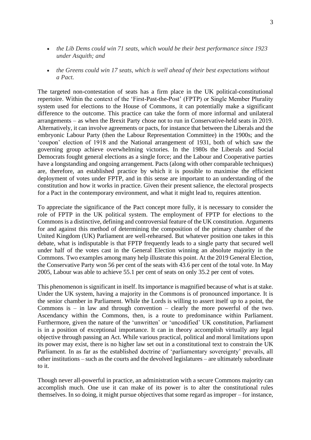- *the Lib Dems could win 71 seats, which would be their best performance since 1923 under Asquith; and*
- *the Greens could win 17 seats, which is well ahead of their best expectations without a Pact.*

The targeted non-contestation of seats has a firm place in the UK political-constitutional repertoire. Within the context of the 'First-Past-the-Post' (FPTP) or Single Member Plurality system used for elections to the House of Commons, it can potentially make a significant difference to the outcome. This practice can take the form of more informal and unilateral arrangements – as when the Brexit Party chose not to run in Conservative-held seats in 2019. Alternatively, it can involve agreements or pacts, for instance that between the Liberals and the embryonic Labour Party (then the Labour Representation Committee) in the 1900s; and the 'coupon' election of 1918 and the National arrangement of 1931, both of which saw the governing group achieve overwhelming victories. In the 1980s the Liberals and Social Democrats fought general elections as a single force; and the Labour and Cooperative parties have a longstanding and ongoing arrangement. Pacts (along with other comparable techniques) are, therefore, an established practice by which it is possible to maximise the efficient deployment of votes under FPTP, and in this sense are important to an understanding of the constitution and how it works in practice. Given their present salience, the electoral prospects for a Pact in the contemporary environment, and what it might lead to, requires attention.

To appreciate the significance of the Pact concept more fully, it is necessary to consider the role of FPTP in the UK political system. The employment of FPTP for elections to the Commons is a distinctive, defining and controversial feature of the UK constitution. Arguments for and against this method of determining the composition of the primary chamber of the United Kingdom (UK) Parliament are well-rehearsed. But whatever position one takes in this debate, what is indisputable is that FPTP frequently leads to a single party that secured well under half of the votes cast in the General Election winning an absolute majority in the Commons. Two examples among many help illustrate this point. At the 2019 General Election, the Conservative Party won 56 per cent of the seats with 43.6 per cent of the total vote. In May 2005, Labour was able to achieve 55.1 per cent of seats on only 35.2 per cent of votes.

This phenomenon is significant in itself. Its importance is magnified because of what is at stake. Under the UK system, having a majority in the Commons is of pronounced importance. It is the senior chamber in Parliament. While the Lords is willing to assert itself up to a point, the Commons is – in law and through convention – clearly the more powerful of the two. Ascendancy within the Commons, then, is a route to predominance within Parliament. Furthermore, given the nature of the 'unwritten' or 'uncodified' UK constitution, Parliament is in a position of exceptional importance. It can in theory accomplish virtually any legal objective through passing an Act. While various practical, political and moral limitations upon its power may exist, there is no higher law set out in a constitutional text to constrain the UK Parliament. In as far as the established doctrine of 'parliamentary sovereignty' prevails, all other institutions – such as the courts and the devolved legislatures – are ultimately subordinate to it.

Though never all-powerful in practice, an administration with a secure Commons majority can accomplish much. One use it can make of its power is to alter the constitutional rules themselves. In so doing, it might pursue objectives that some regard as improper – for instance,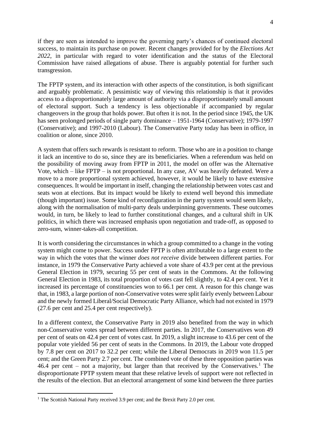if they are seen as intended to improve the governing party's chances of continued electoral success, to maintain its purchase on power. Recent changes provided for by the *Elections Act 2022*, in particular with regard to voter identification and the status of the Electoral Commission have raised allegations of abuse. There is arguably potential for further such transgression.

The FPTP system, and its interaction with other aspects of the constitution, is both significant and arguably problematic. A pessimistic way of viewing this relationship is that it provides access to a disproportionately large amount of authority via a disproportionately small amount of electoral support. Such a tendency is less objectionable if accompanied by regular changeovers in the group that holds power. But often it is not. In the period since 1945, the UK has seen prolonged periods of single party dominance – 1951-1964 (Conservative); 1979-1997 (Conservative); and 1997-2010 (Labour). The Conservative Party today has been in office, in coalition or alone, since 2010.

A system that offers such rewards is resistant to reform. Those who are in a position to change it lack an incentive to do so, since they are its beneficiaries. When a referendum was held on the possibility of moving away from FPTP in 2011, the model on offer was the Alternative Vote, which – like FPTP – is not proportional. In any case, AV was heavily defeated. Were a move to a more proportional system achieved, however, it would be likely to have extensive consequences. It would be important in itself, changing the relationship between votes cast and seats won at elections. But its impact would be likely to extend well beyond this immediate (though important) issue. Some kind of reconfiguration in the party system would seem likely, along with the normalisation of multi-party deals underpinning governments. These outcomes would, in turn, be likely to lead to further constitutional changes, and a cultural shift in UK politics, in which there was increased emphasis upon negotiation and trade-off, as opposed to zero-sum, winner-takes-all competition.

It is worth considering the circumstances in which a group committed to a change in the voting system might come to power. Success under FPTP is often attributable to a large extent to the way in which the votes that the winner *does not receive* divide between different parties. For instance, in 1979 the Conservative Party achieved a vote share of 43.9 per cent at the previous General Election in 1979, securing 55 per cent of seats in the Commons. At the following General Election in 1983, its total proportion of votes cast fell slightly, to 42.4 per cent. Yet it increased its percentage of constituencies won to 66.1 per cent. A reason for this change was that, in 1983, a large portion of non-Conservative votes were split fairly evenly between Labour and the newly formed Liberal/Social Democratic Party Alliance, which had not existed in 1979 (27.6 per cent and 25.4 per cent respectively).

In a different context, the Conservative Party in 2019 also benefited from the way in which non-Conservative votes spread between different parties. In 2017, the Conservatives won 49 per cent of seats on 42.4 per cent of votes cast. In 2019, a slight increase to 43.6 per cent of the popular vote yielded 56 per cent of seats in the Commons. In 2019, the Labour vote dropped by 7.8 per cent on 2017 to 32.2 per cent; while the Liberal Democrats in 2019 won 11.5 per cent; and the Green Party 2.7 per cent. The combined vote of these three opposition parties was 46.4 per cent – not a majority, but larger than that received by the Conservatives.<sup>1</sup> The disproportionate FPTP system meant that these relative levels of support were not reflected in the results of the election. But an electoral arrangement of some kind between the three parties

<sup>&</sup>lt;sup>1</sup> The Scottish National Party received 3.9 per cent; and the Brexit Party 2.0 per cent.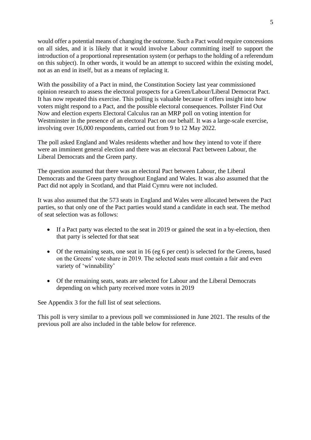would offer a potential means of changing the outcome. Such a Pact would require concessions on all sides, and it is likely that it would involve Labour committing itself to support the introduction of a proportional representation system (or perhaps to the holding of a referendum on this subject). In other words, it would be an attempt to succeed within the existing model, not as an end in itself, but as a means of replacing it.

With the possibility of a Pact in mind, the Constitution Society last year commissioned opinion research to assess the electoral prospects for a Green/Labour/Liberal Democrat Pact. It has now repeated this exercise. This polling is valuable because it offers insight into how voters might respond to a Pact, and the possible electoral consequences. Pollster Find Out Now and election experts Electoral Calculus ran an MRP poll on voting intention for Westminster in the presence of an electoral Pact on our behalf. It was a large-scale exercise, involving over 16,000 respondents, carried out from 9 to 12 May 2022.

The poll asked England and Wales residents whether and how they intend to vote if there were an imminent general election and there was an electoral Pact between Labour, the Liberal Democrats and the Green party.

The question assumed that there was an electoral Pact between Labour, the Liberal Democrats and the Green party throughout England and Wales. It was also assumed that the Pact did not apply in Scotland, and that Plaid Cymru were not included.

It was also assumed that the 573 seats in England and Wales were allocated between the Pact parties, so that only one of the Pact parties would stand a candidate in each seat. The method of seat selection was as follows:

- If a Pact party was elected to the seat in 2019 or gained the seat in a by-election, then that party is selected for that seat
- Of the remaining seats, one seat in 16 (eg 6 per cent) is selected for the Greens, based on the Greens' vote share in 2019. The selected seats must contain a fair and even variety of 'winnability'
- Of the remaining seats, seats are selected for Labour and the Liberal Democrats depending on which party received more votes in 2019

See Appendix 3 for the full list of seat selections.

This poll is very similar to a previous poll we commissioned in June 2021. The results of the previous poll are also included in the table below for reference.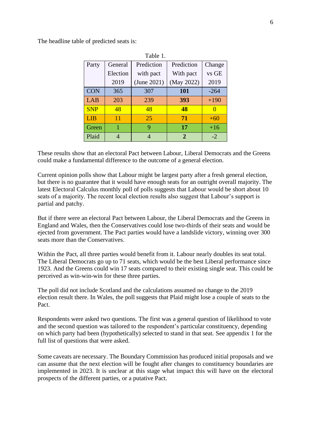The headline table of predicted seats is:

| Table 1.   |          |             |            |               |
|------------|----------|-------------|------------|---------------|
| Party      | General  | Prediction  | Prediction | Change        |
|            | Election | with pact   | With pact  | vs GE         |
|            | 2019     | (June 2021) | (May 2022) | 2019          |
| <b>CON</b> | 365      | 307         | 101        | $-264$        |
| LAB        | 203      | 239         | 393        | $+190$        |
| <b>SNP</b> | 48       | 48          | 48         | $\mathcal{O}$ |
| LIB        | 11       | 25          | 71         | $+60$         |
| Green      | 1        | 9           | 17         | $+16$         |
| Plaid      | 4        | 4           | 2          | $-2$          |

These results show that an electoral Pact between Labour, Liberal Democrats and the Greens could make a fundamental difference to the outcome of a general election.

Current opinion polls show that Labour might be largest party after a fresh general election, but there is no guarantee that it would have enough seats for an outright overall majority. The latest Electoral Calculus monthly poll of polls suggests that Labour would be short about 10 seats of a majority. The recent local election results also suggest that Labour's support is partial and patchy.

But if there were an electoral Pact between Labour, the Liberal Democrats and the Greens in England and Wales, then the Conservatives could lose two-thirds of their seats and would be ejected from government. The Pact parties would have a landslide victory, winning over 300 seats more than the Conservatives.

Within the Pact, all three parties would benefit from it. Labour nearly doubles its seat total. The Liberal Democrats go up to 71 seats, which would be the best Liberal performance since 1923. And the Greens could win 17 seats compared to their existing single seat. This could be perceived as win-win-win for these three parties.

The poll did not include Scotland and the calculations assumed no change to the 2019 election result there. In Wales, the poll suggests that Plaid might lose a couple of seats to the Pact.

Respondents were asked two questions. The first was a general question of likelihood to vote and the second question was tailored to the respondent's particular constituency, depending on which party had been (hypothetically) selected to stand in that seat. See appendix 1 for the full list of questions that were asked.

Some caveats are necessary. The Boundary Commission has produced initial proposals and we can assume that the next election will be fought after changes to constituency boundaries are implemented in 2023. It is unclear at this stage what impact this will have on the electoral prospects of the different parties, or a putative Pact.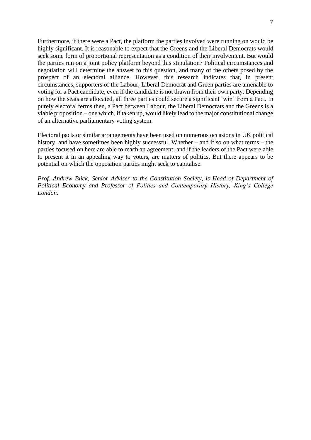Furthermore, if there were a Pact, the platform the parties involved were running on would be highly significant. It is reasonable to expect that the Greens and the Liberal Democrats would seek some form of proportional representation as a condition of their involvement. But would the parties run on a joint policy platform beyond this stipulation? Political circumstances and negotiation will determine the answer to this question, and many of the others posed by the prospect of an electoral alliance. However, this research indicates that, in present circumstances, supporters of the Labour, Liberal Democrat and Green parties are amenable to voting for a Pact candidate, even if the candidate is not drawn from their own party. Depending on how the seats are allocated, all three parties could secure a significant 'win' from a Pact. In purely electoral terms then, a Pact between Labour, the Liberal Democrats and the Greens is a viable proposition – one which, if taken up, would likely lead to the major constitutional change of an alternative parliamentary voting system.

Electoral pacts or similar arrangements have been used on numerous occasions in UK political history, and have sometimes been highly successful. Whether – and if so on what terms – the parties focused on here are able to reach an agreement; and if the leaders of the Pact were able to present it in an appealing way to voters, are matters of politics. But there appears to be potential on which the opposition parties might seek to capitalise.

*Prof. Andrew Blick, Senior Adviser to the Constitution Society, is Head of Department of Political Economy and Professor of Politics and Contemporary History, King's College London.*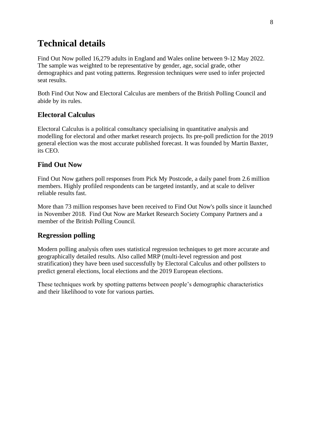### **Technical details**

Find Out Now polled 16,279 adults in England and Wales online between 9-12 May 2022. The sample was weighted to be representative by gender, age, social grade, other demographics and past voting patterns. Regression techniques were used to infer projected seat results.

Both Find Out Now and Electoral Calculus are members of the British Polling Council and abide by its rules.

#### **Electoral Calculus**

Electoral Calculus is a political consultancy specialising in quantitative analysis and modelling for electoral and other market research projects. Its pre-poll prediction for the 2019 general election was the most accurate published forecast. It was founded by Martin Baxter, its CEO.

#### **Find Out Now**

Find Out Now gathers poll responses from Pick My Postcode, a daily panel from 2.6 million members. Highly profiled respondents can be targeted instantly, and at scale to deliver reliable results fast.

More than 73 million responses have been received to Find Out Now's polls since it launched in November 2018. Find Out Now are Market Research Society Company Partners and a member of the British Polling Council.

#### **Regression polling**

Modern polling analysis often uses statistical regression techniques to get more accurate and geographically detailed results. Also called MRP (multi-level regression and post stratification) they have been used successfully by Electoral Calculus and other pollsters to predict general elections, local elections and the 2019 European elections.

These techniques work by spotting patterns between people's demographic characteristics and their likelihood to vote for various parties.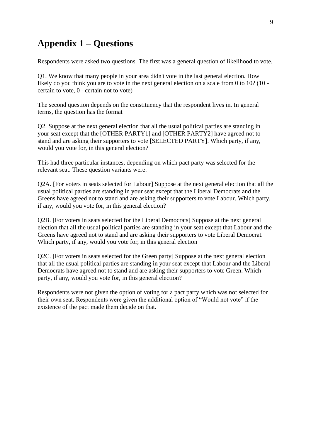#### **Appendix 1 – Questions**

Respondents were asked two questions. The first was a general question of likelihood to vote.

Q1. We know that many people in your area didn't vote in the last general election. How likely do you think you are to vote in the next general election on a scale from 0 to 10? (10 certain to vote, 0 - certain not to vote)

The second question depends on the constituency that the respondent lives in. In general terms, the question has the format

Q2. Suppose at the next general election that all the usual political parties are standing in your seat except that the [OTHER PARTY1] and [OTHER PARTY2] have agreed not to stand and are asking their supporters to vote [SELECTED PARTY]. Which party, if any, would you vote for, in this general election?

This had three particular instances, depending on which pact party was selected for the relevant seat. These question variants were:

Q2A. [For voters in seats selected for Labour] Suppose at the next general election that all the usual political parties are standing in your seat except that the Liberal Democrats and the Greens have agreed not to stand and are asking their supporters to vote Labour. Which party, if any, would you vote for, in this general election?

Q2B. [For voters in seats selected for the Liberal Democrats] Suppose at the next general election that all the usual political parties are standing in your seat except that Labour and the Greens have agreed not to stand and are asking their supporters to vote Liberal Democrat. Which party, if any, would you vote for, in this general election

Q2C. [For voters in seats selected for the Green party] Suppose at the next general election that all the usual political parties are standing in your seat except that Labour and the Liberal Democrats have agreed not to stand and are asking their supporters to vote Green. Which party, if any, would you vote for, in this general election?

Respondents were not given the option of voting for a pact party which was not selected for their own seat. Respondents were given the additional option of "Would not vote" if the existence of the pact made them decide on that.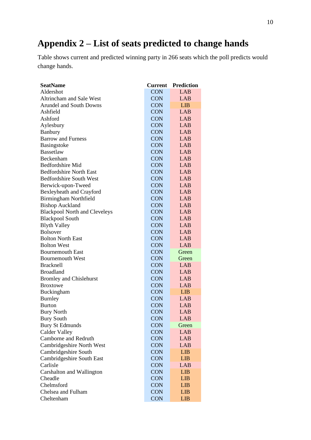## **Appendix 2 – List of seats predicted to change hands**

Table shows current and predicted winning party in 266 seats which the poll predicts would change hands.

| <b>SeatName</b>                      | <b>Current</b> | <b>Prediction</b> |
|--------------------------------------|----------------|-------------------|
| Aldershot                            | <b>CON</b>     | LAB               |
| Altrincham and Sale West             | <b>CON</b>     | LAB               |
| <b>Arundel and South Downs</b>       | <b>CON</b>     | <b>LIB</b>        |
| Ashfield                             | <b>CON</b>     | LAB               |
| Ashford                              | <b>CON</b>     | LAB               |
| Aylesbury                            | CON            | LAB               |
| Banbury                              | <b>CON</b>     | LAB               |
| <b>Barrow and Furness</b>            | <b>CON</b>     | LAB               |
| Basingstoke                          | <b>CON</b>     | LAB               |
| <b>Bassetlaw</b>                     | <b>CON</b>     | LAB               |
| Beckenham                            | <b>CON</b>     | LAB               |
| <b>Bedfordshire Mid</b>              | <b>CON</b>     | LAB               |
| <b>Bedfordshire North East</b>       | <b>CON</b>     | LAB               |
| <b>Bedfordshire South West</b>       | <b>CON</b>     | LAB               |
| Berwick-upon-Tweed                   | <b>CON</b>     | LAB               |
| Bexleyheath and Crayford             | <b>CON</b>     | LAB               |
| <b>Birmingham Northfield</b>         | <b>CON</b>     | LAB               |
| <b>Bishop Auckland</b>               | <b>CON</b>     | LAB               |
| <b>Blackpool North and Cleveleys</b> | <b>CON</b>     | LAB               |
| <b>Blackpool South</b>               | <b>CON</b>     | LAB               |
| <b>Blyth Valley</b>                  | <b>CON</b>     | LAB               |
| <b>Bolsover</b>                      | <b>CON</b>     | LAB               |
| <b>Bolton North East</b>             | <b>CON</b>     | LAB               |
| <b>Bolton West</b>                   | <b>CON</b>     | LAB               |
| <b>Bournemouth East</b>              | <b>CON</b>     | Green             |
| <b>Bournemouth West</b>              | <b>CON</b>     | Green             |
| <b>Bracknell</b>                     | <b>CON</b>     | LAB               |
| <b>Broadland</b>                     | <b>CON</b>     | LAB               |
| <b>Bromley and Chislehurst</b>       | <b>CON</b>     | LAB               |
| <b>Broxtowe</b>                      | <b>CON</b>     | LAB               |
| Buckingham                           | <b>CON</b>     | <b>LIB</b>        |
| <b>Burnley</b>                       | <b>CON</b>     | LAB               |
| <b>Burton</b>                        | <b>CON</b>     | LAB               |
| <b>Bury North</b>                    | <b>CON</b>     | LAB               |
| <b>Bury South</b>                    | <b>CON</b>     | <b>LAB</b>        |
| <b>Bury St Edmunds</b>               | <b>CON</b>     | Green             |
| <b>Calder Valley</b>                 | <b>CON</b>     | <b>LAB</b>        |
| Camborne and Redruth                 | <b>CON</b>     | LAB               |
| Cambridgeshire North West            | <b>CON</b>     | LAB               |
|                                      | <b>CON</b>     |                   |
| Cambridgeshire South                 |                | <b>LIB</b>        |
| Cambridgeshire South East            | <b>CON</b>     | <b>LIB</b>        |
| Carlisle                             | <b>CON</b>     | LAB               |
| Carshalton and Wallington            | <b>CON</b>     | <b>LIB</b>        |
| Cheadle                              | <b>CON</b>     | <b>LIB</b>        |
| Chelmsford                           | <b>CON</b>     | <b>LIB</b>        |
| Chelsea and Fulham                   | <b>CON</b>     | <b>LIB</b>        |
| Cheltenham                           | <b>CON</b>     | <b>LIB</b>        |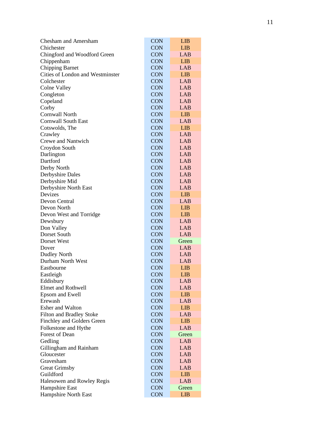| <b>Chesham and Amersham</b>      | <b>CON</b> | <b>LIB</b> |
|----------------------------------|------------|------------|
| Chichester                       | <b>CON</b> | <b>LIB</b> |
| Chingford and Woodford Green     | <b>CON</b> | LAB        |
| Chippenham                       | <b>CON</b> | <b>LIB</b> |
| <b>Chipping Barnet</b>           | <b>CON</b> | <b>LAB</b> |
| Cities of London and Westminster | <b>CON</b> | <b>LIB</b> |
| Colchester                       | <b>CON</b> | LAB        |
| <b>Colne Valley</b>              | <b>CON</b> | LAB        |
| Congleton                        | <b>CON</b> | LAB        |
| Copeland                         | <b>CON</b> | LAB        |
| Corby                            | <b>CON</b> | LAB        |
| <b>Cornwall North</b>            | <b>CON</b> | <b>LIB</b> |
| <b>Cornwall South East</b>       | <b>CON</b> | LAB        |
| Cotswolds, The                   | <b>CON</b> | <b>LIB</b> |
| Crawley                          | <b>CON</b> | LAB        |
| <b>Crewe and Nantwich</b>        | <b>CON</b> | <b>LAB</b> |
| Croydon South                    | <b>CON</b> | LAB        |
| Darlington                       | <b>CON</b> | LAB        |
| Dartford                         | <b>CON</b> | LAB        |
| Derby North                      | <b>CON</b> | LAB        |
| <b>Derbyshire Dales</b>          | <b>CON</b> | LAB        |
| Derbyshire Mid                   | <b>CON</b> | LAB        |
| Derbyshire North East            | <b>CON</b> | LAB        |
| Devizes                          | <b>CON</b> | <b>LIB</b> |
| Devon Central                    | <b>CON</b> | LAB        |
| Devon North                      | <b>CON</b> | <b>LIB</b> |
| Devon West and Torridge          | <b>CON</b> | <b>LIB</b> |
| Dewsbury                         | <b>CON</b> | LAB        |
| Don Valley                       | <b>CON</b> | LAB        |
| Dorset South                     | <b>CON</b> | LAB        |
| Dorset West                      | <b>CON</b> | Green      |
| Dover                            | <b>CON</b> | LAB        |
| <b>Dudley North</b>              | <b>CON</b> | LAB        |
| Durham North West                | <b>CON</b> | LAB        |
| Eastbourne                       | <b>CON</b> | <b>LIB</b> |
| Eastleigh                        | <b>CON</b> | <b>LIB</b> |
| Eddisbury                        | <b>CON</b> | LAB        |
| <b>Elmet and Rothwell</b>        | <b>CON</b> | LAB        |
| Epsom and Ewell                  | <b>CON</b> | <b>LIB</b> |
| Erewash                          | <b>CON</b> | <b>LAB</b> |
| Esher and Walton                 | <b>CON</b> | <b>LIB</b> |
| <b>Filton and Bradley Stoke</b>  | <b>CON</b> | LAB        |
| Finchley and Golders Green       | <b>CON</b> | <b>LIB</b> |
| Folkestone and Hythe             | <b>CON</b> | LAB        |
| Forest of Dean                   | <b>CON</b> | Green      |
| Gedling                          | <b>CON</b> | <b>LAB</b> |
| Gillingham and Rainham           | <b>CON</b> | <b>LAB</b> |
| Gloucester                       | <b>CON</b> | LAB        |
| Gravesham                        | <b>CON</b> | LAB        |
| <b>Great Grimsby</b>             | <b>CON</b> | LAB        |
| Guildford                        | <b>CON</b> | <b>LIB</b> |
| Halesowen and Rowley Regis       | <b>CON</b> | <b>LAB</b> |
| Hampshire East                   | <b>CON</b> | Green      |
| Hampshire North East             | <b>CON</b> | <b>LIB</b> |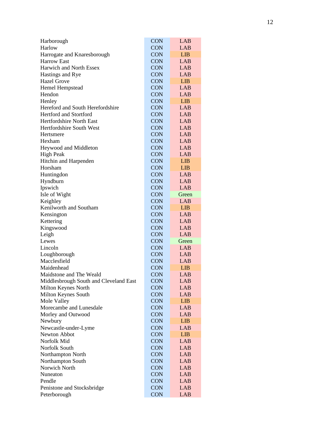| Harborough                             | <b>CON</b> | <b>LAB</b> |
|----------------------------------------|------------|------------|
| Harlow                                 | <b>CON</b> | LAB        |
| Harrogate and Knaresborough            | <b>CON</b> | <b>LIB</b> |
| <b>Harrow East</b>                     | <b>CON</b> | LAB        |
| Harwich and North Essex                | <b>CON</b> | LAB        |
| Hastings and Rye                       | <b>CON</b> | LAB        |
| <b>Hazel Grove</b>                     | <b>CON</b> | <b>LIB</b> |
| Hemel Hempstead                        | <b>CON</b> | LAB        |
| Hendon                                 | <b>CON</b> | LAB        |
| Henley                                 | <b>CON</b> | <b>LIB</b> |
| Hereford and South Herefordshire       | <b>CON</b> | LAB        |
| <b>Hertford and Stortford</b>          | <b>CON</b> | LAB        |
| <b>Hertfordshire North East</b>        | <b>CON</b> | LAB        |
| Hertfordshire South West               | <b>CON</b> | LAB        |
| Hertsmere                              | CON        | LAB        |
| Hexham                                 | <b>CON</b> | LAB        |
| Heywood and Middleton                  | <b>CON</b> | LAB        |
| <b>High Peak</b>                       | <b>CON</b> | LAB        |
| Hitchin and Harpenden                  | CON        | <b>LIB</b> |
| Horsham                                | <b>CON</b> | <b>LIB</b> |
| Huntingdon                             | <b>CON</b> | LAB        |
| Hyndburn                               | <b>CON</b> | LAB        |
| Ipswich                                | <b>CON</b> | LAB        |
| Isle of Wight                          | <b>CON</b> | Green      |
| Keighley                               | <b>CON</b> | <b>LAB</b> |
| Kenilworth and Southam                 | <b>CON</b> | <b>LIB</b> |
| Kensington                             | <b>CON</b> | LAB        |
| Kettering                              | <b>CON</b> | <b>LAB</b> |
| Kingswood                              | <b>CON</b> | <b>LAB</b> |
| Leigh                                  | <b>CON</b> | LAB        |
| Lewes                                  | <b>CON</b> | Green      |
| Lincoln                                | <b>CON</b> | LAB        |
| Loughborough                           | <b>CON</b> | LAB        |
| Macclesfield                           | <b>CON</b> | LAB        |
| Maidenhead                             | <b>CON</b> | <b>LIB</b> |
| Maidstone and The Weald                | <b>CON</b> | <b>LAB</b> |
| Middlesbrough South and Cleveland East | <b>CON</b> | <b>LAB</b> |
| Milton Keynes North                    | <b>CON</b> | <b>LAB</b> |
| Milton Keynes South                    | <b>CON</b> | <b>LAB</b> |
| Mole Valley                            | <b>CON</b> | <b>LIB</b> |
| Morecambe and Lunesdale                | <b>CON</b> | LAB        |
| Morley and Outwood                     | <b>CON</b> | LAB        |
| Newbury                                | <b>CON</b> | <b>LIB</b> |
| Newcastle-under-Lyme                   | <b>CON</b> | <b>LAB</b> |
| Newton Abbot                           | <b>CON</b> | <b>LIB</b> |
| Norfolk Mid                            | <b>CON</b> | <b>LAB</b> |
| Norfolk South                          | <b>CON</b> | <b>LAB</b> |
| Northampton North                      | <b>CON</b> | LAB        |
| Northampton South                      | <b>CON</b> | LAB        |
| Norwich North                          | <b>CON</b> | LAB        |
| Nuneaton                               | <b>CON</b> | <b>LAB</b> |
| Pendle                                 | <b>CON</b> | <b>LAB</b> |
| Penistone and Stocksbridge             | <b>CON</b> | <b>LAB</b> |
| Peterborough                           | <b>CON</b> | <b>LAB</b> |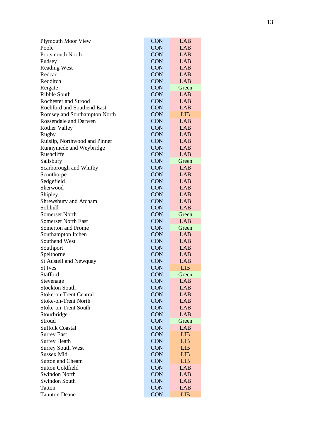| <b>Plymouth Moor View</b>     | <b>CON</b> | LAB        |
|-------------------------------|------------|------------|
| Poole                         | <b>CON</b> | LAB        |
| Portsmouth North              | <b>CON</b> | LAB        |
| Pudsey                        | <b>CON</b> | LAB        |
| <b>Reading West</b>           | <b>CON</b> | LAB        |
| Redcar                        | <b>CON</b> | LAB        |
| Redditch                      | <b>CON</b> | LAB        |
| Reigate                       | <b>CON</b> | Green      |
| <b>Ribble South</b>           | <b>CON</b> | <b>LAB</b> |
| Rochester and Strood          | <b>CON</b> | LAB        |
| Rochford and Southend East    | <b>CON</b> | LAB        |
| Romsey and Southampton North  | <b>CON</b> | <b>LIB</b> |
| <b>Rossendale and Darwen</b>  | <b>CON</b> | LAB        |
| <b>Rother Valley</b>          | <b>CON</b> | LAB        |
| Rugby                         | <b>CON</b> | LAB        |
| Ruislip, Northwood and Pinner | <b>CON</b> | LAB        |
| Runnymede and Weybridge       | <b>CON</b> | LAB        |
| Rushcliffe                    | <b>CON</b> | LAB        |
| Salisbury                     | <b>CON</b> | Green      |
| Scarborough and Whitby        | <b>CON</b> | LAB        |
| Scunthorpe                    | <b>CON</b> | LAB        |
| Sedgefield                    | <b>CON</b> | LAB        |
| Sherwood                      | <b>CON</b> | LAB        |
| Shipley                       | <b>CON</b> | LAB        |
| Shrewsbury and Atcham         | <b>CON</b> | LAB        |
| Solihull                      | <b>CON</b> | LAB        |
| <b>Somerset North</b>         | <b>CON</b> | Green      |
| <b>Somerset North East</b>    | <b>CON</b> | LAB        |
| Somerton and Frome            | <b>CON</b> | Green      |
| Southampton Itchen            | <b>CON</b> | LAB        |
| Southend West                 | <b>CON</b> | LAB        |
| Southport                     | <b>CON</b> | <b>LAB</b> |
| Spelthorne                    | <b>CON</b> | LAB        |
| St Austell and Newquay        | <b>CON</b> | LAB        |
| <b>St</b> Ives                | <b>CON</b> | <b>LIB</b> |
| Stafford                      | <b>CON</b> | Green      |
| Stevenage                     | <b>CON</b> | LAB        |
| <b>Stockton South</b>         | <b>CON</b> | LAB        |
| <b>Stoke-on-Trent Central</b> | <b>CON</b> | <b>LAB</b> |
| <b>Stoke-on-Trent North</b>   | <b>CON</b> | <b>LAB</b> |
| Stoke-on-Trent South          | <b>CON</b> | LAB        |
| Stourbridge                   | <b>CON</b> | LAB        |
| Stroud                        | <b>CON</b> | Green      |
| <b>Suffolk Coastal</b>        | <b>CON</b> | <b>LAB</b> |
| <b>Surrey East</b>            | <b>CON</b> | <b>LIB</b> |
| <b>Surrey Heath</b>           | <b>CON</b> | <b>LIB</b> |
| <b>Surrey South West</b>      | <b>CON</b> | <b>LIB</b> |
| <b>Sussex Mid</b>             | <b>CON</b> | <b>LIB</b> |
| <b>Sutton and Cheam</b>       | <b>CON</b> | <b>LIB</b> |
| <b>Sutton Coldfield</b>       | <b>CON</b> | LAB        |
| <b>Swindon North</b>          | <b>CON</b> | LAB        |
| <b>Swindon South</b>          | <b>CON</b> | <b>LAB</b> |
| Tatton                        | <b>CON</b> | LAB        |
| <b>Taunton Deane</b>          | <b>CON</b> | <b>LIB</b> |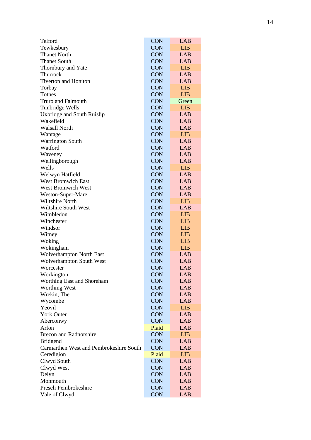| Telford                                 | <b>CON</b> | LAB        |
|-----------------------------------------|------------|------------|
| Tewkesbury                              | <b>CON</b> | <b>LIB</b> |
| <b>Thanet North</b>                     | <b>CON</b> | LAB        |
| <b>Thanet South</b>                     | <b>CON</b> | LAB        |
| Thornbury and Yate                      | <b>CON</b> | <b>LIB</b> |
| <b>Thurrock</b>                         | <b>CON</b> | LAB        |
| <b>Tiverton and Honiton</b>             | <b>CON</b> | LAB        |
| Torbay                                  | <b>CON</b> | <b>LIB</b> |
| Totnes                                  | <b>CON</b> | <b>LIB</b> |
| <b>Truro and Falmouth</b>               | <b>CON</b> | Green      |
| Tunbridge Wells                         | <b>CON</b> | <b>LIB</b> |
| <b>Uxbridge and South Ruislip</b>       | <b>CON</b> | LAB        |
| Wakefield                               | <b>CON</b> | LAB        |
| <b>Walsall North</b>                    | <b>CON</b> | <b>LAB</b> |
| Wantage                                 | <b>CON</b> | <b>LIB</b> |
| <b>Warrington South</b>                 | <b>CON</b> | LAB        |
| Watford                                 | <b>CON</b> | LAB        |
| Waveney                                 | <b>CON</b> | LAB        |
| Wellingborough                          | <b>CON</b> | LAB        |
| Wells                                   | <b>CON</b> | <b>LIB</b> |
| Welwyn Hatfield                         | <b>CON</b> | LAB        |
| <b>West Bromwich East</b>               | <b>CON</b> | LAB        |
| <b>West Bromwich West</b>               | <b>CON</b> | LAB        |
| Weston-Super-Mare                       | <b>CON</b> | LAB        |
| <b>Wiltshire North</b>                  | <b>CON</b> | <b>LIB</b> |
| Wiltshire South West                    | <b>CON</b> | LAB        |
| Wimbledon                               | <b>CON</b> | <b>LIB</b> |
| Winchester                              | <b>CON</b> | <b>LIB</b> |
| Windsor                                 | <b>CON</b> | <b>LIB</b> |
| Witney                                  | <b>CON</b> | <b>LIB</b> |
| Woking                                  | <b>CON</b> | <b>LIB</b> |
| Wokingham                               | <b>CON</b> | <b>LIB</b> |
| Wolverhampton North East                | <b>CON</b> | LAB        |
| <b>Wolverhampton South West</b>         | <b>CON</b> | LAB        |
| Worcester                               | <b>CON</b> | LAB        |
| Workington                              | <b>CON</b> | <b>LAB</b> |
| Worthing East and Shoreham              | <b>CON</b> | <b>LAB</b> |
| <b>Worthing West</b>                    | <b>CON</b> | <b>LAB</b> |
| Wrekin, The                             | <b>CON</b> | <b>LAB</b> |
| Wycombe                                 | <b>CON</b> | <b>LAB</b> |
| Yeovil                                  | <b>CON</b> | <b>LIB</b> |
| <b>York Outer</b>                       | <b>CON</b> | LAB        |
| Aberconwy                               | <b>CON</b> | LAB        |
| Arfon                                   | Plaid      | <b>LAB</b> |
| <b>Brecon and Radnorshire</b>           | <b>CON</b> | <b>LIB</b> |
| <b>Bridgend</b>                         | <b>CON</b> | LAB        |
| Carmarthen West and Pembrokeshire South | <b>CON</b> | LAB        |
| Ceredigion                              | Plaid      | <b>LIB</b> |
| Clwyd South                             | <b>CON</b> | LAB        |
| Clwyd West                              | <b>CON</b> | LAB        |
| Delyn                                   | <b>CON</b> | <b>LAB</b> |
| Monmouth                                | <b>CON</b> | <b>LAB</b> |
| Preseli Pembrokeshire                   | <b>CON</b> | <b>LAB</b> |
| Vale of Clwyd                           | <b>CON</b> | <b>LAB</b> |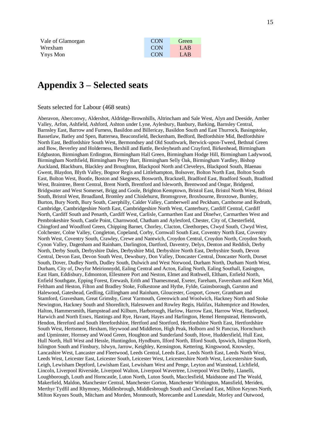| Vale of Glamorgan | <b>CON</b> | Green |
|-------------------|------------|-------|
| Wrexham           | <b>CON</b> | LAB   |
| <b>Ynys</b> Mon   | <b>CON</b> | LAB   |

#### **Appendix 3 – Selected seats**

Seats selected for Labour (468 seats)

Aberavon, Aberconwy, Aldershot, Aldridge-Brownhills, Altrincham and Sale West, Alyn and Deeside, Amber Valley, Arfon, Ashfield, Ashford, Ashton under Lyne, Aylesbury, Banbury, Barking, Barnsley Central, Barnsley East, Barrow and Furness, Basildon and Billericay, Basildon South and East Thurrock, Basingstoke, Bassetlaw, Batley and Spen, Battersea, Beaconsfield, Beckenham, Bedford, Bedfordshire Mid, Bedfordshire North East, Bedfordshire South West, Bermondsey and Old Southwark, Berwick-upon-Tweed, Bethnal Green and Bow, Beverley and Holderness, Bexhill and Battle, Bexleyheath and Crayford, Birkenhead, Birmingham Edgbaston, Birmingham Erdington, Birmingham Hall Green, Birmingham Hodge Hill, Birmingham Ladywood, Birmingham Northfield, Birmingham Perry Barr, Birmingham Selly Oak, Birmingham Yardley, Bishop Auckland, Blackburn, Blackley and Broughton, Blackpool North and Cleveleys, Blackpool South, Blaenau Gwent, Blaydon, Blyth Valley, Bognor Regis and Littlehampton, Bolsover, Bolton North East, Bolton South East, Bolton West, Bootle, Boston and Skegness, Bosworth, Bracknell, Bradford East, Bradford South, Bradford West, Braintree, Brent Central, Brent North, Brentford and Isleworth, Brentwood and Ongar, Bridgend, Bridgwater and West Somerset, Brigg and Goole, Brighton Kemptown, Bristol East, Bristol North West, Bristol South, Bristol West, Broadland, Bromley and Chislehurst, Bromsgrove, Broxbourne, Broxtowe, Burnley, Burton, Bury North, Bury South, Caerphilly, Calder Valley, Camberwell and Peckham, Camborne and Redruth, Cambridge, Cambridgeshire North East, Cambridgeshire North West, Canterbury, Cardiff Central, Cardiff North, Cardiff South and Penarth, Cardiff West, Carlisle, Carmarthen East and Dinefwr, Carmarthen West and Pembrokeshire South, Castle Point, Charnwood, Chatham and Aylesford, Chester, City of, Chesterfield, Chingford and Woodford Green, Chipping Barnet, Chorley, Clacton, Cleethorpes, Clwyd South, Clwyd West, Colchester, Colne Valley, Congleton, Copeland, Corby, Cornwall South East, Coventry North East, Coventry North West, Coventry South, Crawley, Crewe and Nantwich, Croydon Central, Croydon North, Croydon South, Cynon Valley, Dagenham and Rainham, Darlington, Dartford, Daventry, Delyn, Denton and Reddish, Derby North, Derby South, Derbyshire Dales, Derbyshire Mid, Derbyshire North East, Derbyshire South, Devon Central, Devon East, Devon South West, Dewsbury, Don Valley, Doncaster Central, Doncaster North, Dorset South, Dover, Dudley North, Dudley South, Dulwich and West Norwood, Durham North, Durham North West, Durham, City of, Dwyfor Meirionnydd, Ealing Central and Acton, Ealing North, Ealing Southall, Easington, East Ham, Eddisbury, Edmonton, Ellesmere Port and Neston, Elmet and Rothwell, Eltham, Enfield North, Enfield Southgate, Epping Forest, Erewash, Erith and Thamesmead, Exeter, Fareham, Faversham and Kent Mid, Feltham and Heston, Filton and Bradley Stoke, Folkestone and Hythe, Fylde, Gainsborough, Garston and Halewood, Gateshead, Gedling, Gillingham and Rainham, Gloucester, Gosport, Gower, Grantham and Stamford, Gravesham, Great Grimsby, Great Yarmouth, Greenwich and Woolwich, Hackney North and Stoke Newington, Hackney South and Shoreditch, Halesowen and Rowley Regis, Halifax, Haltemprice and Howden, Halton, Hammersmith, Hampstead and Kilburn, Harborough, Harlow, Harrow East, Harrow West, Hartlepool, Harwich and North Essex, Hastings and Rye, Havant, Hayes and Harlington, Hemel Hempstead, Hemsworth, Hendon, Hereford and South Herefordshire, Hertford and Stortford, Hertfordshire North East, Hertfordshire South West, Hertsmere, Hexham, Heywood and Middleton, High Peak, Holborn and St Pancras, Hornchurch and Upminster, Hornsey and Wood Green, Houghton and Sunderland South, Hove, Huddersfield, Hull East, Hull North, Hull West and Hessle, Huntingdon, Hyndburn, Ilford North, Ilford South, Ipswich, Islington North, Islington South and Finsbury, Islwyn, Jarrow, Keighley, Kensington, Kettering, Kingswood, Knowsley, Lancashire West, Lancaster and Fleetwood, Leeds Central, Leeds East, Leeds North East, Leeds North West, Leeds West, Leicester East, Leicester South, Leicester West, Leicestershire North West, Leicestershire South, Leigh, Lewisham Deptford, Lewisham East, Lewisham West and Penge, Leyton and Wanstead, Lichfield, Lincoln, Liverpool Riverside, Liverpool Walton, Liverpool Wavertree, Liverpool West Derby, Llanelli, Loughborough, Louth and Horncastle, Luton North, Luton South, Macclesfield, Maidstone and The Weald, Makerfield, Maldon, Manchester Central, Manchester Gorton, Manchester Withington, Mansfield, Meriden, Merthyr Tydfil and Rhymney, Middlesbrough, Middlesbrough South and Cleveland East, Milton Keynes North, Milton Keynes South, Mitcham and Morden, Monmouth, Morecambe and Lunesdale, Morley and Outwood,